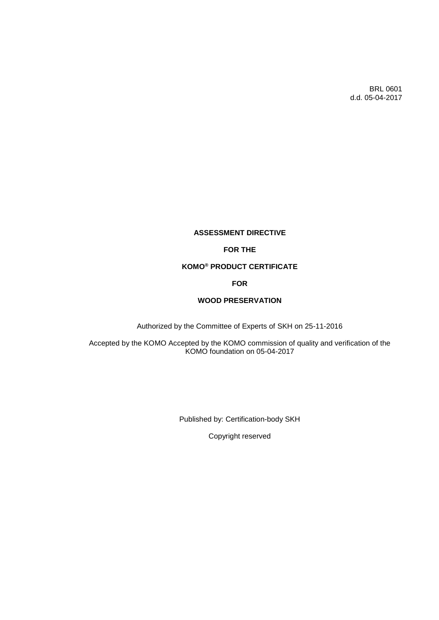BRL 0601 d.d. 05-04-2017

# **ASSESSMENT DIRECTIVE**

# **FOR THE**

# **KOMO® PRODUCT CERTIFICATE**

# **FOR**

# **WOOD PRESERVATION**

Authorized by the Committee of Experts of SKH on 25-11-2016

Accepted by the KOMO Accepted by the KOMO commission of quality and verification of the KOMO foundation on 05-04-2017

Published by: Certification-body SKH

Copyright reserved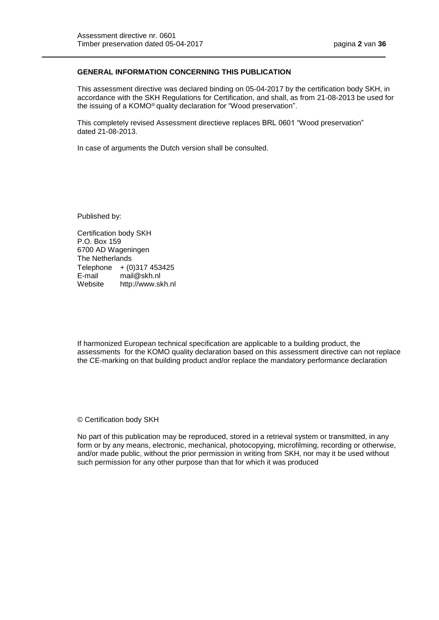## **GENERAL INFORMATION CONCERNING THIS PUBLICATION**

This assessment directive was declared binding on 05-04-2017 by the certification body SKH, in accordance with the SKH Regulations for Certification, and shall, as from 21-08-2013 be used for the issuing of a KOMO® quality declaration for "Wood preservation".

This completely revised Assessment directieve replaces BRL 0601 "Wood preservation" dated 21-08-2013.

In case of arguments the Dutch version shall be consulted.

Published by:

Certification body SKH P.O. Box 159 6700 AD Wageningen The Netherlands Telephone  $+ (0)$ 317 453425 E-mail mail@skh.nl Website http://www.skh.nl

If harmonized European technical specification are applicable to a building product, the assessments for the KOMO quality declaration based on this assessment directive can not replace the CE-marking on that building product and/or replace the mandatory performance declaration

© Certification body SKH

No part of this publication may be reproduced, stored in a retrieval system or transmitted, in any form or by any means, electronic, mechanical, photocopying, microfilming, recording or otherwise, and/or made public, without the prior permission in writing from SKH, nor may it be used without such permission for any other purpose than that for which it was produced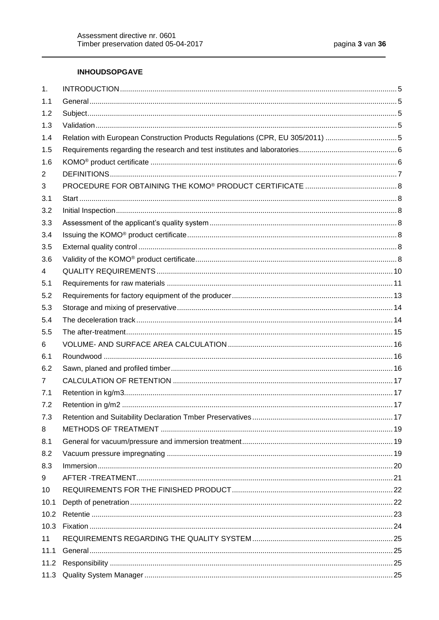# **INHOUDSOPGAVE**

| 1.             |                                                                               |  |
|----------------|-------------------------------------------------------------------------------|--|
| 1.1            |                                                                               |  |
| 1.2            |                                                                               |  |
| 1.3            |                                                                               |  |
| 1.4            | Relation with European Construction Products Regulations (CPR, EU 305/2011) 5 |  |
| 1.5            |                                                                               |  |
| 1.6            |                                                                               |  |
| 2              |                                                                               |  |
| 3              |                                                                               |  |
| 3.1            |                                                                               |  |
| 3.2            |                                                                               |  |
| 3.3            |                                                                               |  |
| 3.4            |                                                                               |  |
| 3.5            |                                                                               |  |
| 3.6            |                                                                               |  |
| 4              |                                                                               |  |
| 5.1            |                                                                               |  |
| 5.2            |                                                                               |  |
| 5.3            |                                                                               |  |
| 5.4            |                                                                               |  |
| 5.5            |                                                                               |  |
| 6              |                                                                               |  |
| 6.1            |                                                                               |  |
| 6.2            |                                                                               |  |
| $\overline{7}$ |                                                                               |  |
| 7.1            |                                                                               |  |
| 7.2            |                                                                               |  |
| 7.3            |                                                                               |  |
| 8              |                                                                               |  |
| 8.1            |                                                                               |  |
| 8.2            |                                                                               |  |
| 8.3            |                                                                               |  |
| 9              |                                                                               |  |
| 10             |                                                                               |  |
| 10.1           |                                                                               |  |
| 10.2           |                                                                               |  |
| 10.3           |                                                                               |  |
| 11             |                                                                               |  |
| 11.1           |                                                                               |  |
| 11.2           |                                                                               |  |
| 11.3           |                                                                               |  |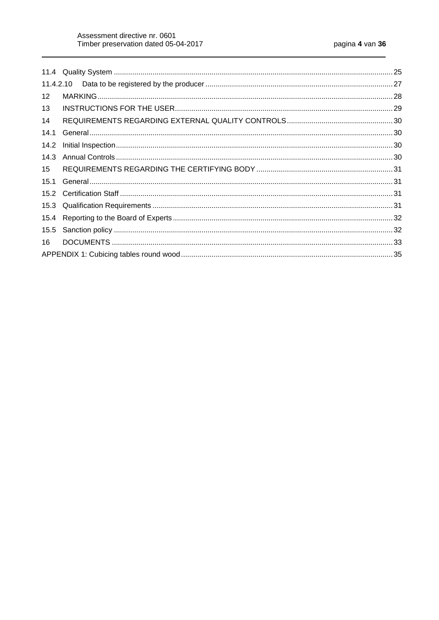| $12 \overline{ }$ |  |
|-------------------|--|
| 13                |  |
| 14                |  |
| 14.1              |  |
| 14.2              |  |
| 14.3              |  |
| 15                |  |
| 15.1              |  |
|                   |  |
|                   |  |
| 15.4              |  |
| 15.5              |  |
| 16                |  |
|                   |  |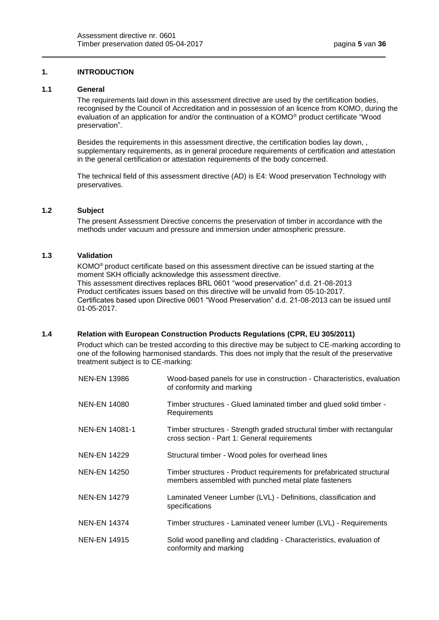# <span id="page-4-0"></span>**1. INTRODUCTION**

#### <span id="page-4-1"></span>**1.1 General**

The requirements laid down in this assessment directive are used by the certification bodies, recognised by the Council of Accreditation and in possession of an licence from KOMO, during the evaluation of an application for and/or the continuation of a KOMO® product certificate "Wood preservation".

Besides the requirements in this assessment directive, the certification bodies lay down, , supplementary requirements, as in general procedure requirements of certification and attestation in the general certification or attestation requirements of the body concerned.

The technical field of this assessment directive (AD) is E4: Wood preservation Technology with preservatives.

#### <span id="page-4-2"></span>**1.2 Subject**

The present Assessment Directive concerns the preservation of timber in accordance with the methods under vacuum and pressure and immersion under atmospheric pressure.

# <span id="page-4-3"></span>**1.3 Validation**

KOMO® product certificate based on this assessment directive can be issued starting at the moment SKH officially acknowledge this assessment directive. This assessment directives replaces BRL 0601 "wood preservation" d.d. 21-08-2013 Product certificates issues based on this directive will be unvalid from 05-10-2017. Certificates based upon Directive 0601 "Wood Preservation" d.d. 21-08-2013 can be issued until 01-05-2017.

# <span id="page-4-4"></span>**1.4 Relation with European Construction Products Regulations (CPR, EU 305/2011)**

Product which can be trested according to this directive may be subject to CE-marking according to one of the following harmonised standards. This does not imply that the result of the preservative treatment subject is to CE-marking:

| <b>NEN-EN 13986</b> | Wood-based panels for use in construction - Characteristics, evaluation<br>of conformity and marking                          |
|---------------------|-------------------------------------------------------------------------------------------------------------------------------|
| <b>NEN-EN 14080</b> | Timber structures - Glued laminated timber and glued solid timber -<br>Requirements                                           |
| NEN-EN 14081-1      | Timber structures - Strength graded structural timber with rectangular<br>cross section - Part 1: General requirements        |
| <b>NEN-EN 14229</b> | Structural timber - Wood poles for overhead lines                                                                             |
| <b>NEN-EN 14250</b> | Timber structures - Product requirements for prefabricated structural<br>members assembled with punched metal plate fasteners |
| <b>NEN-EN 14279</b> | Laminated Veneer Lumber (LVL) - Definitions, classification and<br>specifications                                             |
| <b>NEN-EN 14374</b> | Timber structures - Laminated veneer lumber (LVL) - Requirements                                                              |
| <b>NEN-EN 14915</b> | Solid wood panelling and cladding - Characteristics, evaluation of<br>conformity and marking                                  |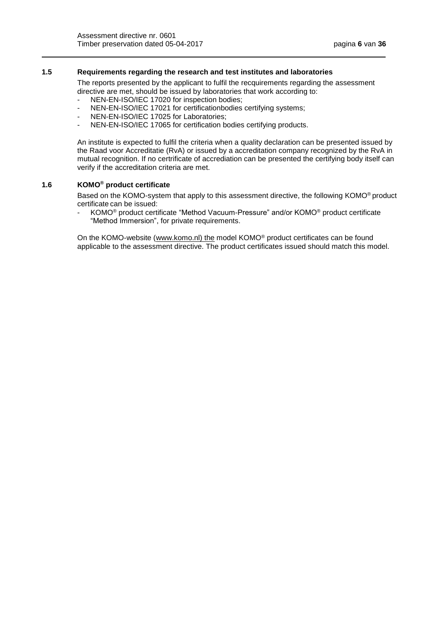#### <span id="page-5-0"></span>**1.5 Requirements regarding the research and test institutes and laboratories**

The reports presented by the applicant to fulfil the recquirements regarding the assessment directive are met, should be issued by laboratories that work according to:

- NEN-EN-ISO/IEC 17020 for inspection bodies;
- NEN-EN-ISO/IEC 17021 for certificationbodies certifying systems;
- NEN-EN-ISO/IEC 17025 for Laboratories;
- NEN-EN-ISO/IEC 17065 for certification bodies certifying products.

An institute is expected to fulfil the criteria when a quality declaration can be presented issued by the Raad voor Accreditatie (RvA) or issued by a accreditation company recognized by the RvA in mutual recognition. If no certrificate of accrediation can be presented the certifying body itself can verify if the accreditation criteria are met.

### <span id="page-5-1"></span>**1.6 KOMO® product certificate**

Based on the KOMO-system that apply to this assessment directive, the following KOMO® product certificate can be issued:

- KOMO® product certificate "Method Vacuum-Pressure" and/or KOMO® product certificate "Method Immersion", for private requirements.

<span id="page-5-2"></span>On the KOMO-website (www.komo.nl) the model KOMO® product certificates can be found applicable to the assessment directive. The product certificates issued should match this model.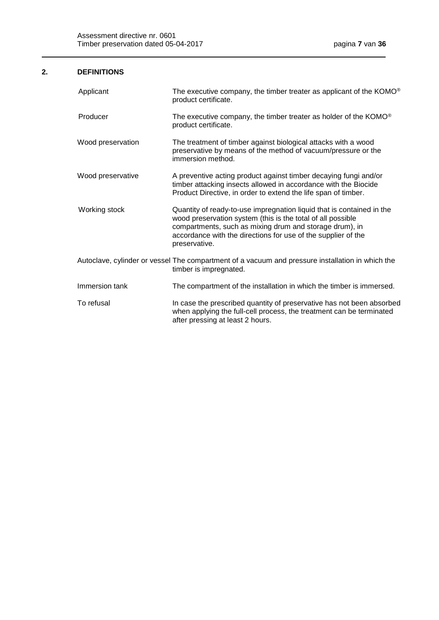# **2. DEFINITIONS**

| Applicant         | The executive company, the timber treater as applicant of the KOMO®<br>product certificate.                                                                                                                                                                                       |
|-------------------|-----------------------------------------------------------------------------------------------------------------------------------------------------------------------------------------------------------------------------------------------------------------------------------|
| Producer          | The executive company, the timber treater as holder of the KOMO <sup>®</sup><br>product certificate.                                                                                                                                                                              |
| Wood preservation | The treatment of timber against biological attacks with a wood<br>preservative by means of the method of vacuum/pressure or the<br>immersion method.                                                                                                                              |
| Wood preservative | A preventive acting product against timber decaying fungi and/or<br>timber attacking insects allowed in accordance with the Biocide<br>Product Directive, in order to extend the life span of timber.                                                                             |
| Working stock     | Quantity of ready-to-use impregnation liquid that is contained in the<br>wood preservation system (this is the total of all possible<br>compartments, such as mixing drum and storage drum), in<br>accordance with the directions for use of the supplier of the<br>preservative. |
|                   | Autoclave, cylinder or vessel The compartment of a vacuum and pressure installation in which the<br>timber is impregnated.                                                                                                                                                        |
| Immersion tank    | The compartment of the installation in which the timber is immersed.                                                                                                                                                                                                              |
| To refusal        | In case the prescribed quantity of preservative has not been absorbed<br>when applying the full-cell process, the treatment can be terminated<br>after pressing at least 2 hours.                                                                                                 |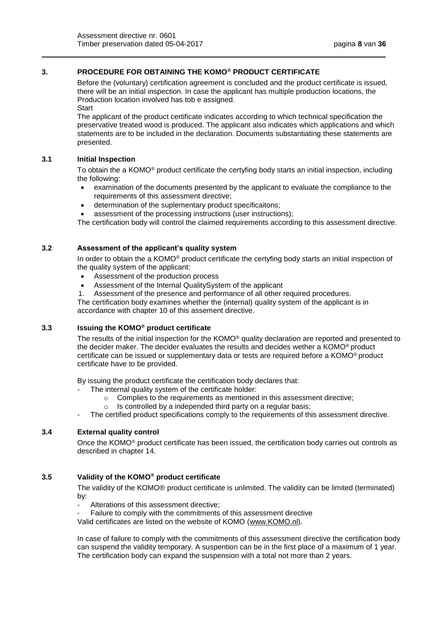# <span id="page-7-0"></span>**3. PROCEDURE FOR OBTAINING THE KOMO® PRODUCT CERTIFICATE**

Before the (voluntary) certification agreement is concluded and the product certificate is issued, there will be an initial inspection. In case the applicant has multiple production locations, the Production location involved has tob e assigned.

<span id="page-7-1"></span>**Start** 

The applicant of the product certificate indicates according to which technical specification the preservative treated wood is produced. The applicant also indicates which applications and which statements are to be included in the declaration. Documents substantiating these statements are presented.

#### <span id="page-7-2"></span>**3.1 Initial Inspection**

To obtain the a KOMO® product certificate the certyfing body starts an initial inspection, including the following:

- examination of the documents presented by the applicant to evaluate the compliance to the requirements of this assessment directive;
- determination of the suplementary product specificaitons;
- assessment of the processing instructions (user instructions);

The certification body will control the claimed requirements according to this assessment directive.

## <span id="page-7-3"></span>**3.2 Assessment of the applicant's quality system**

In order to obtain the a KOMO® product certificate the certyfing body starts an initial inspection of the quality system of the applicant:

- Assessment of the production process
- Assessment of the Internal QualitySystem of the applicant
- 1. Assessment of the presence and performance of all other required procedures.

The certification body examines whether the (internal) quality system of the applicant is in accordance with chapter 10 of this assement directive.

## <span id="page-7-4"></span>**3.3 Issuing the KOMO® product certificate**

The results of the initial inspection for the KOMO® quality declaration are reported and presented to the decider maker. The decider evaluates the results and decides wether a KOMO® product certificate can be issued or supplementary data or tests are required before a KOMO® product certificate have to be provided.

By issuing the product certificate the certification body declares that:

- The internal quality system of the certificate holder:
	- o Complies to the requirements as mentioned in this assessment directive;
	- o Is controlled by a independed third party on a regular basis;
- The certified product specifications comply to the requirements of this assessment directive.

#### <span id="page-7-5"></span>**3.4 External quality control**

Once the KOMO® product certificate has been issued, the certification body carries out controls as described in chapter 14.

### <span id="page-7-6"></span>**3.5 Validity of the KOMO® product certificate**

The validity of the KOMO® product certificate is unlimited. The validity can be limited (terminated) by:

Alterations of this assessment directive:

Failure to comply with the commitments of this assessment directive

Valid certificates are listed on the website of KOMO [\(www.KOMO.nl\)](http://www.komo.nl/).

In case of failure to comply with the commitments of this assessment directive the certification body can suspend the validity temporary. A suspention can be in the first place of a maximum of 1 year. The certification body can expand the suspension with a total not more than 2 years.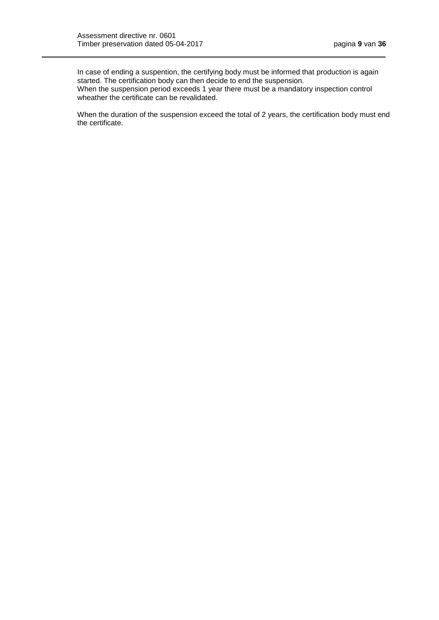In case of ending a suspention, the certifying body must be informed that production is again started. The certification body can then decide to end the suspension. When the suspension period exceeds 1 year there must be a mandatory inspection control wheather the certificate can be revalidated.

When the duration of the suspension exceed the total of 2 years, the certification body must end the certificate.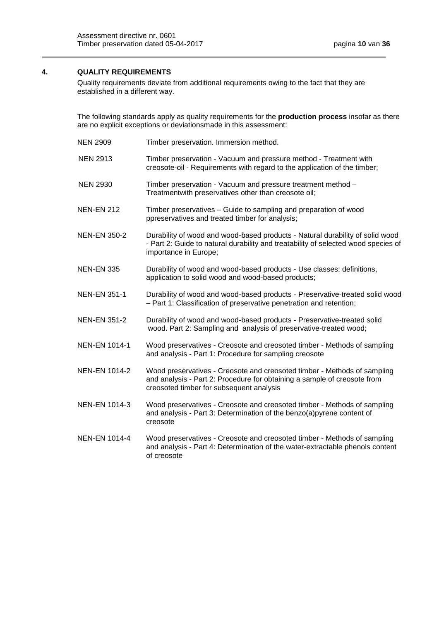# <span id="page-9-0"></span>**4. QUALITY REQUIREMENTS**

Quality requirements deviate from additional requirements owing to the fact that they are established in a different way.

The following standards apply as quality requirements for the **production process** insofar as there are no explicit exceptions or deviationsmade in this assessment:

| <b>NEN 2909</b>      | Timber preservation. Immersion method.                                                                                                                                                           |
|----------------------|--------------------------------------------------------------------------------------------------------------------------------------------------------------------------------------------------|
| <b>NEN 2913</b>      | Timber preservation - Vacuum and pressure method - Treatment with<br>creosote-oil - Requirements with regard to the application of the timber;                                                   |
| <b>NEN 2930</b>      | Timber preservation - Vacuum and pressure treatment method -<br>Treatmentwith preservatives other than creosote oil;                                                                             |
| <b>NEN-EN 212</b>    | Timber preservatives - Guide to sampling and preparation of wood<br>ppreservatives and treated timber for analysis;                                                                              |
| <b>NEN-EN 350-2</b>  | Durability of wood and wood-based products - Natural durability of solid wood<br>- Part 2: Guide to natural durability and treatability of selected wood species of<br>importance in Europe;     |
| <b>NEN-EN 335</b>    | Durability of wood and wood-based products - Use classes: definitions,<br>application to solid wood and wood-based products;                                                                     |
| <b>NEN-EN 351-1</b>  | Durability of wood and wood-based products - Preservative-treated solid wood<br>- Part 1: Classification of preservative penetration and retention;                                              |
| <b>NEN-EN 351-2</b>  | Durability of wood and wood-based products - Preservative-treated solid<br>wood. Part 2: Sampling and analysis of preservative-treated wood;                                                     |
| <b>NEN-EN 1014-1</b> | Wood preservatives - Creosote and creosoted timber - Methods of sampling<br>and analysis - Part 1: Procedure for sampling creosote                                                               |
| <b>NEN-EN 1014-2</b> | Wood preservatives - Creosote and creosoted timber - Methods of sampling<br>and analysis - Part 2: Procedure for obtaining a sample of creosote from<br>creosoted timber for subsequent analysis |
| <b>NEN-EN 1014-3</b> | Wood preservatives - Creosote and creosoted timber - Methods of sampling<br>and analysis - Part 3: Determination of the benzo(a)pyrene content of<br>creosote                                    |
| <b>NEN-EN 1014-4</b> | Wood preservatives - Creosote and creosoted timber - Methods of sampling<br>and analysis - Part 4: Determination of the water-extractable phenols content<br>of creosote                         |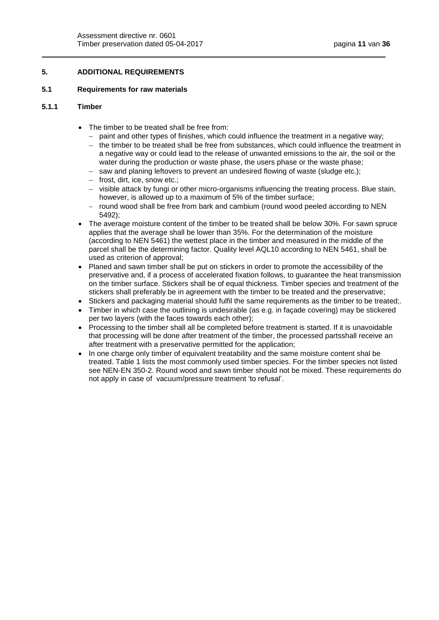# **5. ADDITIONAL REQUIREMENTS**

#### <span id="page-10-0"></span>**5.1 Requirements for raw materials**

### **5.1.1 Timber**

- The timber to be treated shall be free from:
	- paint and other types of finishes, which could influence the treatment in a negative way;
	- the timber to be treated shall be free from substances, which could influence the treatment in a negative way or could lead to the release of unwanted emissions to the air, the soil or the water during the production or waste phase, the users phase or the waste phase;
	- $-$  saw and planing leftovers to prevent an undesired flowing of waste (sludge etc.);
	- $-$  frost, dirt, ice, snow etc.;
	- visible attack by fungi or other micro-organisms influencing the treating process. Blue stain, however, is allowed up to a maximum of 5% of the timber surface;
	- $-$  round wood shall be free from bark and cambium (round wood peeled according to NEN 5492);
- The average moisture content of the timber to be treated shall be below 30%. For sawn spruce applies that the average shall be lower than 35%. For the determination of the moisture (according to NEN 5461) the wettest place in the timber and measured in the middle of the parcel shall be the determining factor. Quality level AQL10 according to NEN 5461, shall be used as criterion of approval;
- Planed and sawn timber shall be put on stickers in order to promote the accessibility of the preservative and, if a process of accelerated fixation follows, to guarantee the heat transmission on the timber surface. Stickers shall be of equal thickness. Timber species and treatment of the stickers shall preferably be in agreement with the timber to be treated and the preservative;
- Stickers and packaging material should fulfil the same requirements as the timber to be treated;.
- Timber in which case the outlining is undesirable (as e.g. in façade covering) may be stickered per two layers (with the faces towards each other);
- Processing to the timber shall all be completed before treatment is started. If it is unavoidable that processing will be done after treatment of the timber, the processed partsshall receive an after treatment with a preservative permitted for the application;
- In one charge only timber of equivalent treatability and the same moisture content shal be treated. Table 1 lists the most commonly used timber species. For the timber species not listed see NEN-EN 350-2. Round wood and sawn timber should not be mixed. These requirements do not apply in case of vacuum/pressure treatment 'to refusal'.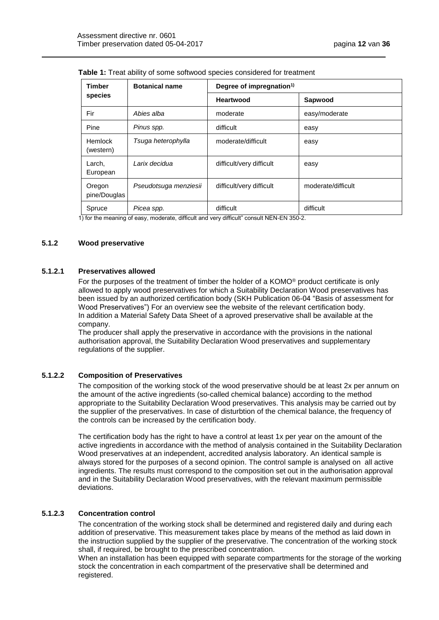| <b>Timber</b>          | <b>Botanical name</b> | Degree of impregnation <sup>1)</sup> |                    |
|------------------------|-----------------------|--------------------------------------|--------------------|
| species                |                       | Heartwood                            | Sapwood            |
| Fir                    | Abies alba            | moderate                             | easy/moderate      |
| Pine                   | Pinus spp.            | difficult                            | easy               |
| Hemlock<br>(western)   | Tsuga heterophylla    | moderate/difficult                   | easy               |
| Larch,<br>European     | Larix decidua         | difficult/very difficult             | easy               |
| Oregon<br>pine/Douglas | Pseudotsuga menziesii | difficult/very difficult             | moderate/difficult |
| Spruce                 | Picea spp.            | difficult                            | difficult          |

**Table 1:** Treat ability of some softwood species considered for treatment

1) for the meaning of easy, moderate, difficult and very difficult" consult NEN-EN 350-2.

# **5.1.2 Wood preservative**

# **5.1.2.1 Preservatives allowed**

For the purposes of the treatment of timber the holder of a KOMO® product certificate is only allowed to apply wood preservatives for which a Suitability Declaration Wood preservatives has been issued by an authorized certification body (SKH Publication 06-04 "Basis of assessment for Wood Preservatives") For an overview see the website of the relevant certification body. In addition a Material Safety Data Sheet of a aproved preservative shall be available at the company.

The producer shall apply the preservative in accordance with the provisions in the national authorisation approval, the Suitability Declaration Wood preservatives and supplementary regulations of the supplier.

# **5.1.2.2 Composition of Preservatives**

The composition of the working stock of the wood preservative should be at least 2x per annum on the amount of the active ingredients (so-called chemical balance) according to the method appropriate to the Suitability Declaration Wood preservatives. This analysis may be carried out by the supplier of the preservatives. In case of disturbtion of the chemical balance, the frequency of the controls can be increased by the certification body.

The certification body has the right to have a control at least 1x per year on the amount of the active ingredients in accordance with the method of analysis contained in the Suitability Declaration Wood preservatives at an independent, accredited analysis laboratory. An identical sample is always stored for the purposes of a second opinion. The control sample is analysed on all active ingredients. The results must correspond to the composition set out in the authorisation approval and in the Suitability Declaration Wood preservatives, with the relevant maximum permissible deviations.

# **5.1.2.3 Concentration control**

The concentration of the working stock shall be determined and registered daily and during each addition of preservative. This measurement takes place by means of the method as laid down in the instruction supplied by the supplier of the preservative. The concentration of the working stock shall, if required, be brought to the prescribed concentration.

When an installation has been equipped with separate compartments for the storage of the working stock the concentration in each compartment of the preservative shall be determined and registered.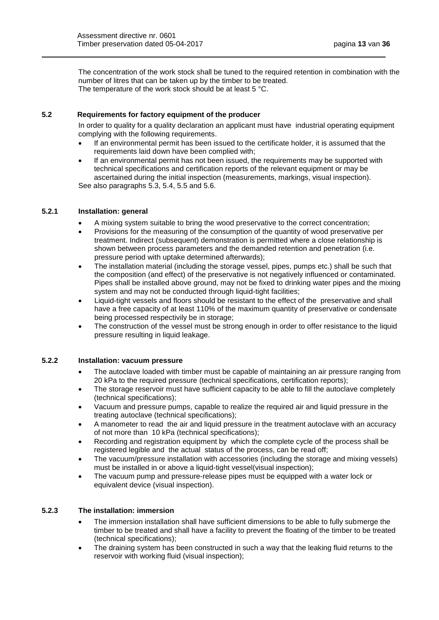The concentration of the work stock shall be tuned to the required retention in combination with the number of litres that can be taken up by the timber to be treated. The temperature of the work stock should be at least 5 °C.

# <span id="page-12-0"></span>**5.2 Requirements for factory equipment of the producer**

In order to quality for a quality declaration an applicant must have industrial operating equipment complying with the following requirements.

- If an environmental permit has been issued to the certificate holder, it is assumed that the requirements laid down have been complied with;
- If an environmental permit has not been issued, the requirements may be supported with technical specifications and certification reports of the relevant equipment or may be ascertained during the initial inspection (measurements, markings, visual inspection). See also paragraphs 5.3, 5.4, 5.5 and 5.6.

# **5.2.1 Installation: general**

- A mixing system suitable to bring the wood preservative to the correct concentration;
- Provisions for the measuring of the consumption of the quantity of wood preservative per treatment. Indirect (subsequent) demonstration is permitted where a close relationship is shown between process parameters and the demanded retention and penetration (i.e. pressure period with uptake determined afterwards);
- The installation material (including the storage vessel, pipes, pumps etc.) shall be such that the composition (and effect) of the preservative is not negatively influenced or contaminated. Pipes shall be installed above ground, may not be fixed to drinking water pipes and the mixing system and may not be conducted through liquid-tight facilities;
- Liquid-tight vessels and floors should be resistant to the effect of the preservative and shall have a free capacity of at least 110% of the maximum quantity of preservative or condensate being processed respectivily be in storage;
- The construction of the vessel must be strong enough in order to offer resistance to the liquid pressure resulting in liquid leakage.

### **5.2.2 Installation: vacuum pressure**

- The autoclave loaded with timber must be capable of maintaining an air pressure ranging from 20 kPa to the required pressure (technical specifications, certification reports);
- The storage reservoir must have sufficient capacity to be able to fill the autoclave completely (technical specifications);
- Vacuum and pressure pumps, capable to realize the required air and liquid pressure in the treating autoclave (technical specifications);
- A manometer to read the air and liquid pressure in the treatment autoclave with an accuracy of not more than 10 kPa (technical specifications);
- Recording and registration equipment by which the complete cycle of the process shall be registered legible and the actual status of the process, can be read off;
- The vacuum/pressure installation with accessories (including the storage and mixing vessels) must be installed in or above a liquid-tight vessel(visual inspection);
- The vacuum pump and pressure-release pipes must be equipped with a water lock or equivalent device (visual inspection).

#### **5.2.3 The installation: immersion**

- The immersion installation shall have sufficient dimensions to be able to fully submerge the timber to be treated and shall have a facility to prevent the floating of the timber to be treated (technical specifications);
- The draining system has been constructed in such a way that the leaking fluid returns to the reservoir with working fluid (visual inspection);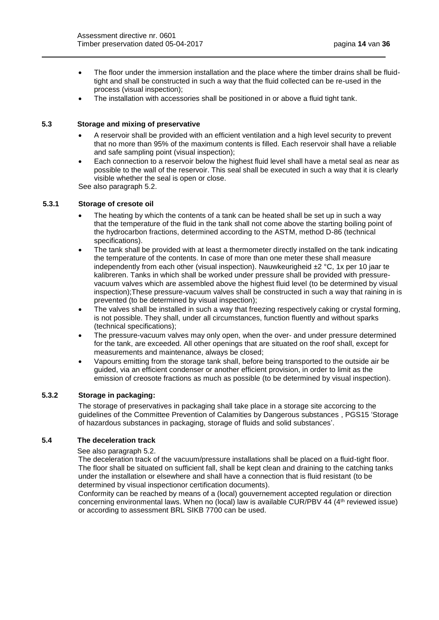- The floor under the immersion installation and the place where the timber drains shall be fluidtight and shall be constructed in such a way that the fluid collected can be re-used in the process (visual inspection);
- The installation with accessories shall be positioned in or above a fluid tight tank.

# <span id="page-13-0"></span>**5.3 Storage and mixing of preservative**

- A reservoir shall be provided with an efficient ventilation and a high level security to prevent that no more than 95% of the maximum contents is filled. Each reservoir shall have a reliable and safe sampling point (visual inspection);
- Each connection to a reservoir below the highest fluid level shall have a metal seal as near as possible to the wall of the reservoir. This seal shall be executed in such a way that it is clearly visible whether the seal is open or close.

See also paragraph 5.2.

#### **5.3.1 Storage of cresote oil**

- The heating by which the contents of a tank can be heated shall be set up in such a way that the temperature of the fluid in the tank shall not come above the starting boiling point of the hydrocarbon fractions, determined according to the ASTM, method D-86 (technical specifications).
- The tank shall be provided with at least a thermometer directly installed on the tank indicating the temperature of the contents. In case of more than one meter these shall measure independently from each other (visual inspection). Nauwkeurigheid  $\pm 2$  °C, 1x per 10 jaar te kalibreren. Tanks in which shall be worked under pressure shall be provided with pressurevacuum valves which are assembled above the highest fluid level (to be determined by visual inspection);These pressure-vacuum valves shall be constructed in such a way that raining in is prevented (to be determined by visual inspection);
- The valves shall be installed in such a way that freezing respectively caking or crystal forming, is not possible. They shall, under all circumstances, function fluently and without sparks (technical specifications);
- The pressure-vacuum valves may only open, when the over- and under pressure determined for the tank, are exceeded. All other openings that are situated on the roof shall, except for measurements and maintenance, always be closed;
- Vapours emitting from the storage tank shall, before being transported to the outside air be guided, via an efficient condenser or another efficient provision, in order to limit as the emission of creosote fractions as much as possible (to be determined by visual inspection).

#### **5.3.2 Storage in packaging:**

The storage of preservatives in packaging shall take place in a storage site accorcing to the guidelines of the Committee Prevention of Calamities by Dangerous substances , PGS15 'Storage of hazardous substances in packaging, storage of fluids and solid substances'.

### <span id="page-13-1"></span>**5.4 The deceleration track**

#### See also paragraph 5.2.

The deceleration track of the vacuum/pressure installations shall be placed on a fluid-tight floor. The floor shall be situated on sufficient fall, shall be kept clean and draining to the catching tanks under the installation or elsewhere and shall have a connection that is fluid resistant (to be determined by visual inspectionor certification documents).

<span id="page-13-2"></span>Conformity can be reached by means of a (local) gouvernement accepted regulation or direction concerning environmental laws. When no (local) law is available CUR/PBV 44 (4th reviewed issue) or according to assessment BRL SIKB 7700 can be used.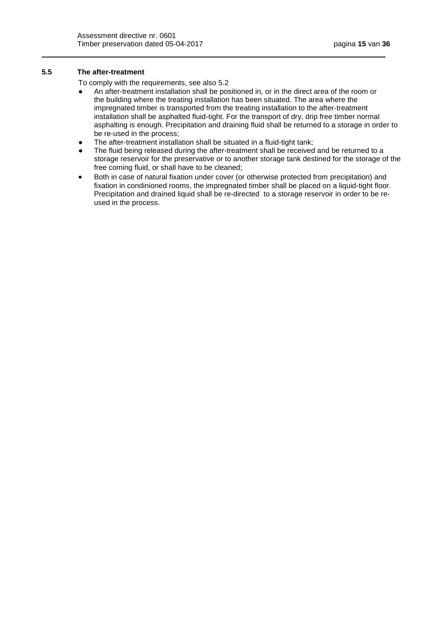# **5.5 The after-treatment**

To comply with the requirements, see also 5.2

- An after-treatment installation shall be positioned in, or in the direct area of the room or the building where the treating installation has been situated. The area where the impregnated timber is transported from the treating installation to the after-treatment installation shall be asphalted fluid-tight. For the transport of dry, drip free timber normal asphalting is enough. Precipitation and draining fluid shall be returned to a storage in order to be re-used in the process;
- The after-treatment installation shall be situated in a fluid-tight tank;
- The fluid being released during the after-treatment shall be received and be returned to a storage reservoir for the preservative or to another storage tank destined for the storage of the free coming fluid, or shall have to be cleaned;
- <span id="page-14-0"></span> Both in case of natural fixation under cover (or otherwise protected from precipitation) and fixation in condinioned rooms, the impregnated timber shall be placed on a liquid-tight floor. Precipitation and drained liquid shall be re-directed to a storage reservoir in order to be reused in the process.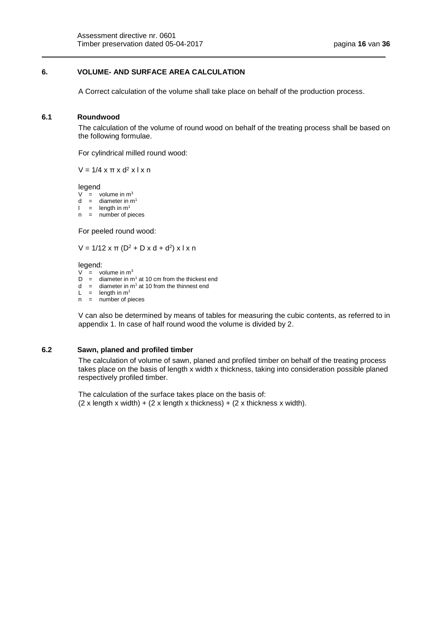## **6. VOLUME- AND SURFACE AREA CALCULATION**

A Correct calculation of the volume shall take place on behalf of the production process.

# <span id="page-15-0"></span>**6.1 Roundwood**

The calculation of the volume of round wood on behalf of the treating process shall be based on the following formulae.

For cylindrical milled round wood:

 $V = 1/4$  x π x d<sup>2</sup> x l x n

legend

- $V =$  volume in  $m<sup>3</sup>$
- d = diameter in  $m<sup>1</sup>$
- $l =$  length in  $m<sup>1</sup>$
- $n =$  number of pieces

For peeled round wood:

V = 1/12 x π (D<sup>2</sup> + D x d + d<sup>2</sup>) x l x n

legend:

- $V =$  volume in  $m<sup>3</sup>$
- D = diameter in m<sup>1</sup> at 10 cm from the thickest end<br>d = diameter in m<sup>1</sup> at 10 from the thinnest end
- diameter in  $m<sup>1</sup>$  at 10 from the thinnest end
- $L =$  length in m<sup>1</sup>
- $n =$  number of pieces

V can also be determined by means of tables for measuring the cubic contents, as referred to in appendix 1. In case of half round wood the volume is divided by 2.

#### <span id="page-15-1"></span>**6.2 Sawn, planed and profiled timber**

The calculation of volume of sawn, planed and profiled timber on behalf of the treating process takes place on the basis of length x width x thickness, taking into consideration possible planed respectively profiled timber.

<span id="page-15-2"></span>The calculation of the surface takes place on the basis of:  $(2 \times \text{length} \times \text{width}) + (2 \times \text{length} \times \text{thickness}) + (2 \times \text{thickness} \times \text{width}).$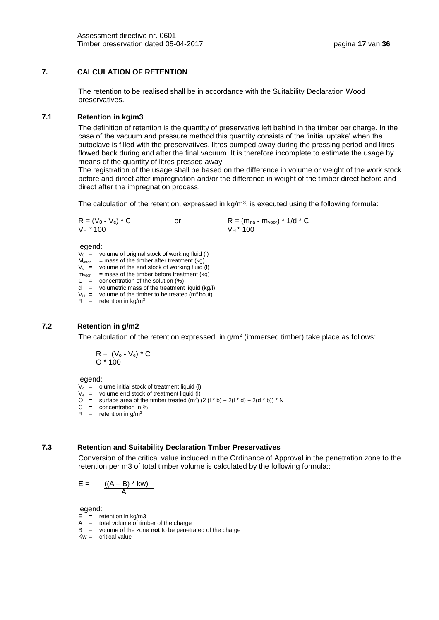# **7. CALCULATION OF RETENTION**

The retention to be realised shall be in accordance with the Suitability Declaration Wood preservatives.

# <span id="page-16-0"></span>**7.1 Retention in kg/m3**

The definition of retention is the quantity of preservative left behind in the timber per charge. In the case of the vacuum and pressure method this quantity consists of the 'initial uptake' when the autoclave is filled with the preservatives, litres pumped away during the pressing period and litres flowed back during and after the final vacuum. It is therefore incomplete to estimate the usage by means of the quantity of litres pressed away.

The registration of the usage shall be based on the difference in volume or weight of the work stock before and direct after impregnation and/or the difference in weight of the timber direct before and direct after the impregnation process.

The calculation of the retention, expressed in kg/m<sup>3</sup>, is executed using the following formula:

$$
R = (V_0 - V_e) * C
$$
 or 
$$
V_H * 100
$$
 or 
$$
V_H * 100
$$

legend:

- $V_0$  = volume of original stock of working fluid (I)
- $M<sub>after</sub>$  = mass of the timber after treatment (kg)
- $V_e$  = volume of the end stock of working fluid (I)
- $m_{voor}$  = mass of the timber before treatment (kg)
- $C =$  concentration of the solution  $(\%)$
- $d =$  volumetric mass of the treatment liquid (kg/l)
- $V_H$  = volume of the timber to be treated (m<sup>3</sup> hout)
- $R =$  retention in kg/m<sup>3</sup>

#### <span id="page-16-1"></span>**7.2 Retention in g/m2**

The calculation of the retention expressed in  $g/m^2$  (immersed timber) take place as follows:

$$
R = \frac{(V_o - V_e) * C}{100}
$$

legend:

- $V_0$  = olume initial stock of treatment liquid (I)
- $V_e$  = volume end stock of treatment liquid (I)
- O = surface area of the timber treated  $(m^2)$  (2 (l  $*$  b) + 2(l  $*$  d) + 2(d  $*$  b))  $*$  N
- $C =$  concentration in %
- $R =$  retention in g/m<sup>2</sup>

# <span id="page-16-2"></span>**7.3 Retention and Suitability Declaration Tmber Preservatives**

Conversion of the critical value included in the Ordinance of Approval in the penetration zone to the retention per m3 of total timber volume is calculated by the following formula::

$$
E = \frac{((A - B) * kw)}{A}
$$

legend:

- $E =$  retention in kg/m3
- $A =$  total volume of timber of the charge
- B = volume of the zone **not** to be penetrated of the charge
- $Kw =$  critical value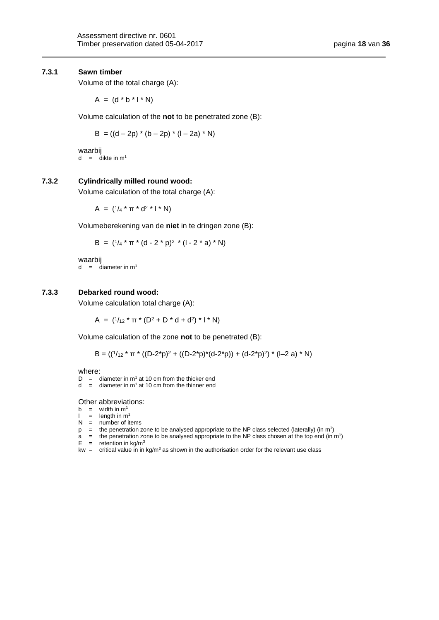#### **7.3.1 Sawn timber**

Volume of the total charge (A):

 $A = (d * b * l * N)$ 

Volume calculation of the **not** to be penetrated zone (B):

$$
B = ((d - 2p) * (b - 2p) * (l - 2a) * N)
$$

waarbij  $d = d$ ikte in m<sup>1</sup>

# **7.3.2 Cylindrically milled round wood:**

Volume calculation of the total charge (A):

 $A = (1/4 * π * d<sup>2</sup> * l * N)$ 

Volumeberekening van de **niet** in te dringen zone (B):

$$
B = (^{1}/_{4} * \pi * (d - 2 * p)^{2} * (l - 2 * a) * N)
$$

waarbij  $d = d$ iameter in m<sup>1</sup>

#### **7.3.3 Debarked round wood:**

Volume calculation total charge (A):

A =  $(^{1}/_{12} \cdot \pi \cdot (D^{2} + D \cdot d + d^{2}) \cdot I \cdot N)$ 

Volume calculation of the zone **not** to be penetrated (B):

B = 
$$
((1/12 \times \pi \times ((D-2 \times p)^2 + ((D-2 \times p) \times (d-2 \times p)) + (d-2 \times p)^2) \times ((-2 a) \times N)
$$

where:

 $D =$  diameter in m<sup>1</sup> at 10 cm from the thicker end

 $d =$  diameter in m<sup>1</sup> at 10 cm from the thinner end

Other abbreviations:

- b = width in  $m<sup>1</sup>$ <br>l = length in m
- $=$  length in  $m<sup>1</sup>$
- $N =$  number of items
- p  $=$  the penetration zone to be analysed appropriate to the NP class selected (laterally) (in m<sup>1</sup>)
- a  $=$  the penetration zone to be analysed appropriate to the NP class chosen at the top end (in m<sup>1</sup>)  $E =$  retention in kg/m<sup>3</sup>
- kw = critical value in in kg/m<sup>3</sup> as shown in the authorisation order for the relevant use class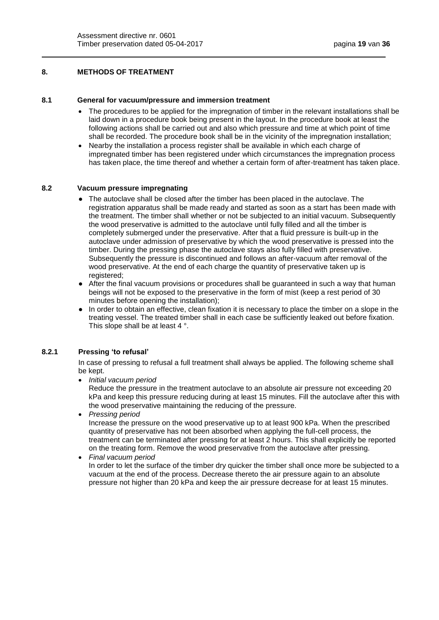# <span id="page-18-0"></span>**8. METHODS OF TREATMENT**

#### <span id="page-18-1"></span>**8.1 General for vacuum/pressure and immersion treatment**

- The procedures to be applied for the impregnation of timber in the relevant installations shall be laid down in a procedure book being present in the layout. In the procedure book at least the following actions shall be carried out and also which pressure and time at which point of time shall be recorded. The procedure book shall be in the vicinity of the impregnation installation;
- Nearby the installation a process register shall be available in which each charge of impregnated timber has been registered under which circumstances the impregnation process has taken place, the time thereof and whether a certain form of after-treatment has taken place.

#### <span id="page-18-2"></span>**8.2 Vacuum pressure impregnating**

- The autoclave shall be closed after the timber has been placed in the autoclave. The registration apparatus shall be made ready and started as soon as a start has been made with the treatment. The timber shall whether or not be subjected to an initial vacuum. Subsequently the wood preservative is admitted to the autoclave until fully filled and all the timber is completely submerged under the preservative. After that a fluid pressure is built-up in the autoclave under admission of preservative by which the wood preservative is pressed into the timber. During the pressing phase the autoclave stays also fully filled with preservative. Subsequently the pressure is discontinued and follows an after-vacuum after removal of the wood preservative. At the end of each charge the quantity of preservative taken up is registered:
- After the final vacuum provisions or procedures shall be guaranteed in such a way that human beings will not be exposed to the preservative in the form of mist (keep a rest period of 30 minutes before opening the installation);
- In order to obtain an effective, clean fixation it is necessary to place the timber on a slope in the treating vessel. The treated timber shall in each case be sufficiently leaked out before fixation. This slope shall be at least 4 °.

#### **8.2.1 Pressing 'to refusal'**

In case of pressing to refusal a full treatment shall always be applied. The following scheme shall be kept.

*Initial vacuum period*

Reduce the pressure in the treatment autoclave to an absolute air pressure not exceeding 20 kPa and keep this pressure reducing during at least 15 minutes. Fill the autoclave after this with the wood preservative maintaining the reducing of the pressure.

- *Pressing period* Increase the pressure on the wood preservative up to at least 900 kPa. When the prescribed quantity of preservative has not been absorbed when applying the full-cell process, the treatment can be terminated after pressing for at least 2 hours. This shall explicitly be reported on the treating form. Remove the wood preservative from the autoclave after pressing.
- <span id="page-18-3"></span> *Final vacuum period* In order to let the surface of the timber dry quicker the timber shall once more be subjected to a vacuum at the end of the process. Decrease thereto the air pressure again to an absolute pressure not higher than 20 kPa and keep the air pressure decrease for at least 15 minutes.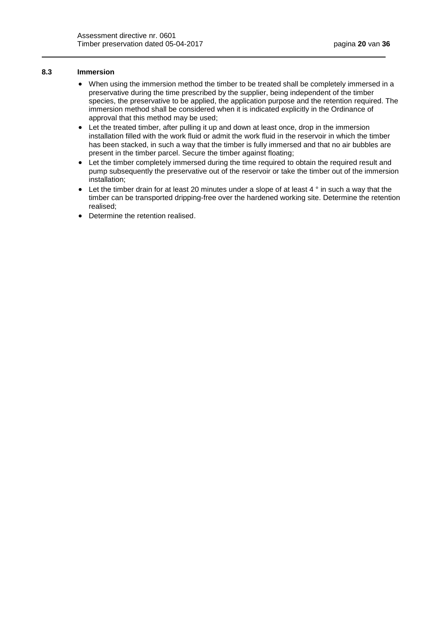### **8.3 Immersion**

- When using the immersion method the timber to be treated shall be completely immersed in a preservative during the time prescribed by the supplier, being independent of the timber species, the preservative to be applied, the application purpose and the retention required. The immersion method shall be considered when it is indicated explicitly in the Ordinance of approval that this method may be used;
- Let the treated timber, after pulling it up and down at least once, drop in the immersion installation filled with the work fluid or admit the work fluid in the reservoir in which the timber has been stacked, in such a way that the timber is fully immersed and that no air bubbles are present in the timber parcel. Secure the timber against floating;
- Let the timber completely immersed during the time required to obtain the required result and pump subsequently the preservative out of the reservoir or take the timber out of the immersion installation;
- $\bullet$  Let the timber drain for at least 20 minutes under a slope of at least 4  $^\circ$  in such a way that the timber can be transported dripping-free over the hardened working site. Determine the retention realised;
- <span id="page-19-0"></span>• Determine the retention realised.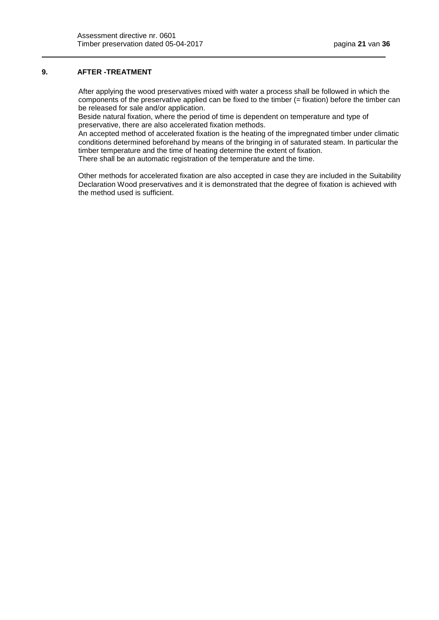# **9. AFTER -TREATMENT**

After applying the wood preservatives mixed with water a process shall be followed in which the components of the preservative applied can be fixed to the timber (= fixation) before the timber can be released for sale and/or application.

Beside natural fixation, where the period of time is dependent on temperature and type of preservative, there are also accelerated fixation methods.

An accepted method of accelerated fixation is the heating of the impregnated timber under climatic conditions determined beforehand by means of the bringing in of saturated steam. In particular the timber temperature and the time of heating determine the extent of fixation.

There shall be an automatic registration of the temperature and the time.

<span id="page-20-0"></span>Other methods for accelerated fixation are also accepted in case they are included in the Suitability Declaration Wood preservatives and it is demonstrated that the degree of fixation is achieved with the method used is sufficient.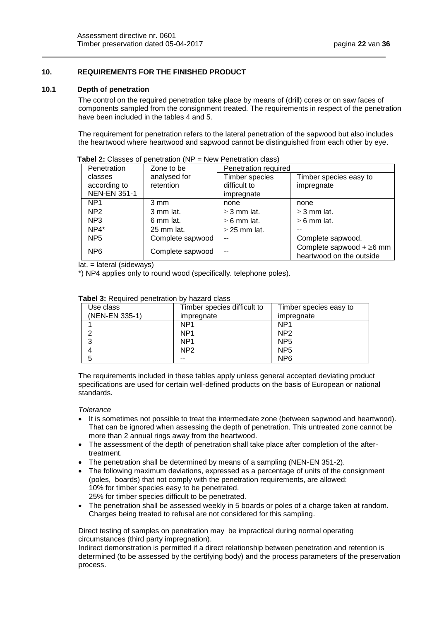# **10. REQUIREMENTS FOR THE FINISHED PRODUCT**

#### <span id="page-21-0"></span>**10.1 Depth of penetration**

The control on the required penetration take place by means of (drill) cores or on saw faces of components sampled from the consignment treated. The requirements in respect of the penetration have been included in the tables 4 and 5.

The requirement for penetration refers to the lateral penetration of the sapwood but also includes the heartwood where heartwood and sapwood cannot be distinguished from each other by eye.

| Penetration         | Zone to be           | Penetration required  |                                                            |
|---------------------|----------------------|-----------------------|------------------------------------------------------------|
| classes             | analysed for         | <b>Timber species</b> | Timber species easy to                                     |
| according to        | retention            | difficult to          | impregnate                                                 |
| <b>NEN-EN 351-1</b> |                      | impregnate            |                                                            |
| NP <sub>1</sub>     | 3 mm                 | none                  | none                                                       |
| NP <sub>2</sub>     | 3 mm lat.            | $\geq$ 3 mm lat.      | $\geq$ 3 mm lat.                                           |
| NP <sub>3</sub>     | 6 mm lat.            | $\geq 6$ mm lat.      | $\geq 6$ mm lat.                                           |
| $NP4*$              | $25 \text{ mm}$ lat. | $\geq$ 25 mm lat.     |                                                            |
| NP <sub>5</sub>     | Complete sapwood     |                       | Complete sapwood.                                          |
| NP <sub>6</sub>     | Complete sapwood     |                       | Complete sapwood $+ \geq 6$ mm<br>heartwood on the outside |

**Tabel 2:** Classes of penetration (NP = New Penetration class)

lat. = lateral (sideways)

\*) NP4 applies only to round wood (specifically. telephone poles).

| Use class      | Timber species difficult to | Timber species easy to |
|----------------|-----------------------------|------------------------|
| (NEN-EN 335-1) | impregnate                  | impregnate             |
|                | NP <sub>1</sub>             | NP <sub>1</sub>        |
|                | NP <sub>1</sub>             | NP <sub>2</sub>        |
| 3              | NP <sub>1</sub>             | NP <sub>5</sub>        |
| 4              | NP <sub>2</sub>             | NP <sub>5</sub>        |
| 5              | --                          | N <sub>P6</sub>        |

#### **Tabel 3:** Required penetration by hazard class

The requirements included in these tables apply unless general accepted deviating product specifications are used for certain well-defined products on the basis of European or national standards.

#### *Tolerance*

- It is sometimes not possible to treat the intermediate zone (between sapwood and heartwood). That can be ignored when assessing the depth of penetration. This untreated zone cannot be more than 2 annual rings away from the heartwood.
- The assessment of the depth of penetration shall take place after completion of the aftertreatment.
- The penetration shall be determined by means of a sampling (NEN-EN 351-2).
- The following maximum deviations, expressed as a percentage of units of the consignment (poles, boards) that not comply with the penetration requirements, are allowed: 10% for timber species easy to be penetrated. 25% for timber species difficult to be penetrated.
- The penetration shall be assessed weekly in 5 boards or poles of a charge taken at random. Charges being treated to refusal are not considered for this sampling.

Direct testing of samples on penetration may be impractical during normal operating circumstances (third party impregnation).

Indirect demonstration is permitted if a direct relationship between penetration and retention is determined (to be assessed by the certifying body) and the process parameters of the preservation process.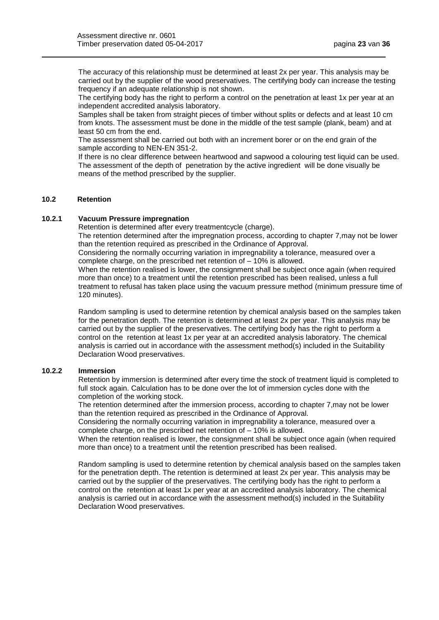The accuracy of this relationship must be determined at least 2x per year. This analysis may be carried out by the supplier of the wood preservatives. The certifying body can increase the testing frequency if an adequate relationship is not shown.

The certifying body has the right to perform a control on the penetration at least 1x per year at an independent accredited analysis laboratory.

Samples shall be taken from straight pieces of timber without splits or defects and at least 10 cm from knots. The assessment must be done in the middle of the test sample (plank, beam) and at least 50 cm from the end.

The assessment shall be carried out both with an increment borer or on the end grain of the sample according to NEN-EN 351-2.

If there is no clear difference between heartwood and sapwood a colouring test liquid can be used. The assessment of the depth of penetration by the active ingredient will be done visually be means of the method prescribed by the supplier.

# <span id="page-22-0"></span>**10.2 Retention**

#### **10.2.1 Vacuum Pressure impregnation**

Retention is determined after every treatmentcycle (charge).

The retention determined after the impregnation process, according to chapter 7,may not be lower than the retention required as prescribed in the Ordinance of Approval.

Considering the normally occurring variation in impregnability a tolerance, measured over a complete charge, on the prescribed net retention of – 10% is allowed.

When the retention realised is lower, the consignment shall be subject once again (when required more than once) to a treatment until the retention prescribed has been realised, unless a full treatment to refusal has taken place using the vacuum pressure method (minimum pressure time of 120 minutes).

Random sampling is used to determine retention by chemical analysis based on the samples taken for the penetration depth. The retention is determined at least 2x per year. This analysis may be carried out by the supplier of the preservatives. The certifying body has the right to perform a control on the retention at least 1x per year at an accredited analysis laboratory. The chemical analysis is carried out in accordance with the assessment method(s) included in the Suitability Declaration Wood preservatives.

#### **10.2.2 Immersion**

Retention by immersion is determined after every time the stock of treatment liquid is completed to full stock again. Calculation has to be done over the lot of immersion cycles done with the completion of the working stock.

The retention determined after the immersion process, according to chapter 7,may not be lower than the retention required as prescribed in the Ordinance of Approval.

Considering the normally occurring variation in impregnability a tolerance, measured over a complete charge, on the prescribed net retention of – 10% is allowed.

When the retention realised is lower, the consignment shall be subject once again (when required more than once) to a treatment until the retention prescribed has been realised.

<span id="page-22-1"></span>Random sampling is used to determine retention by chemical analysis based on the samples taken for the penetration depth. The retention is determined at least 2x per year. This analysis may be carried out by the supplier of the preservatives. The certifying body has the right to perform a control on the retention at least 1x per year at an accredited analysis laboratory. The chemical analysis is carried out in accordance with the assessment method(s) included in the Suitability Declaration Wood preservatives.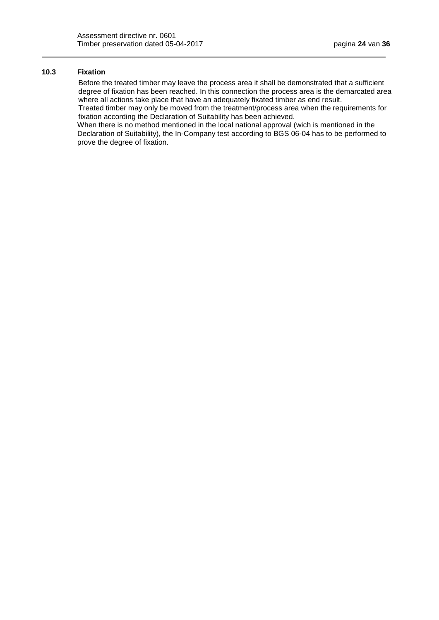# **10.3 Fixation**

Before the treated timber may leave the process area it shall be demonstrated that a sufficient degree of fixation has been reached. In this connection the process area is the demarcated area where all actions take place that have an adequately fixated timber as end result.

Treated timber may only be moved from the treatment/process area when the requirements for fixation according the Declaration of Suitability has been achieved.

<span id="page-23-0"></span>When there is no method mentioned in the local national approval (wich is mentioned in the Declaration of Suitability), the In-Company test according to BGS 06-04 has to be performed to prove the degree of fixation.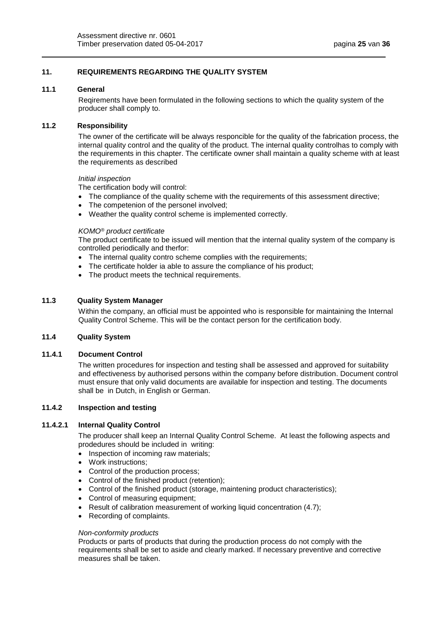# **11. REQUIREMENTS REGARDING THE QUALITY SYSTEM**

#### <span id="page-24-0"></span>**11.1 General**

Reqirements have been formulated in the following sections to which the quality system of the producer shall comply to.

## <span id="page-24-1"></span>**11.2 Responsibility**

The owner of the certificate will be always responcible for the quality of the fabrication process, the internal quality control and the quality of the product. The internal quality controlhas to comply with the requirements in this chapter. The certificate owner shall maintain a quality scheme with at least the requirements as described

#### *Initial inspection*

The certification body will control:

- The compliance of the quality scheme with the requirements of this assessment directive;
- The competenion of the personel involved;
- Weather the quality control scheme is implemented correctly.

#### *KOMO® product certificate*

The product certificate to be issued will mention that the internal quality system of the company is controlled periodically and therfor:

- The internal quality contro scheme complies with the requirements;
- The certificate holder ia able to assure the compliance of his product;
- The product meets the technical requirements.

#### <span id="page-24-2"></span>**11.3 Quality System Manager**

Within the company, an official must be appointed who is responsible for maintaining the Internal Quality Control Scheme. This will be the contact person for the certification body.

## <span id="page-24-3"></span>**11.4 Quality System**

# **11.4.1 Document Control**

The written procedures for inspection and testing shall be assessed and approved for suitability and effectiveness by authorised persons within the company before distribution. Document control must ensure that only valid documents are available for inspection and testing. The documents shall be in Dutch, in English or German.

### **11.4.2 Inspection and testing**

# **11.4.2.1 Internal Quality Control**

The producer shall keep an Internal Quality Control Scheme. At least the following aspects and prodedures should be included in writing:

- Inspection of incoming raw materials;
- Work instructions;
- Control of the production process;
- Control of the finished product (retention);
- Control of the finished product (storage, maintening product characteristics);
- Control of measuring equipment;
- Result of calibration measurement of working liquid concentration (4.7);
- Recording of complaints.

#### *Non-conformity products*

Products or parts of products that during the production process do not comply with the requirements shall be set to aside and clearly marked. If necessary preventive and corrective measures shall be taken.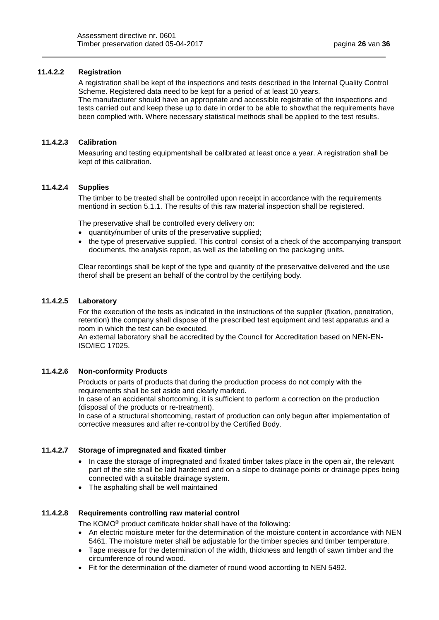# **11.4.2.2 Registration**

A registration shall be kept of the inspections and tests described in the Internal Quality Control Scheme. Registered data need to be kept for a period of at least 10 years. The manufacturer should have an appropriate and accessible registratie of the inspections and tests carried out and keep these up to date in order to be able to showthat the requirements have been complied with. Where necessary statistical methods shall be applied to the test results.

## **11.4.2.3 Calibration**

Measuring and testing equipmentshall be calibrated at least once a year. A registration shall be kept of this calibration.

### **11.4.2.4 Supplies**

The timber to be treated shall be controlled upon receipt in accordance with the requirements mentiond in section 5.1.1. The results of this raw material inspection shall be registered.

The preservative shall be controlled every delivery on:

- quantity/number of units of the preservative supplied;
- the type of preservative supplied. This control consist of a check of the accompanying transport documents, the analysis report, as well as the labelling on the packaging units.

Clear recordings shall be kept of the type and quantity of the preservative delivered and the use therof shall be present an behalf of the control by the certifying body.

#### **11.4.2.5 Laboratory**

For the execution of the tests as indicated in the instructions of the supplier (fixation, penetration, retention) the company shall dispose of the prescribed test equipment and test apparatus and a room in which the test can be executed.

An external laboratory shall be accredited by the Council for Accreditation based on NEN-EN-ISO/IEC 17025.

### **11.4.2.6 Non-conformity Products**

Products or parts of products that during the production process do not comply with the requirements shall be set aside and clearly marked.

In case of an accidental shortcoming, it is sufficient to perform a correction on the production (disposal of the products or re-treatment).

In case of a structural shortcoming, restart of production can only begun after implementation of corrective measures and after re-control by the Certified Body.

### **11.4.2.7 Storage of impregnated and fixated timber**

- In case the storage of impregnated and fixated timber takes place in the open air, the relevant part of the site shall be laid hardened and on a slope to drainage points or drainage pipes being connected with a suitable drainage system.
- The asphalting shall be well maintained

#### **11.4.2.8 Requirements controlling raw material control**

The KOMO® product certificate holder shall have of the following:

- An electric moisture meter for the determination of the moisture content in accordance with NEN 5461. The moisture meter shall be adjustable for the timber species and timber temperature.
- Tape measure for the determination of the width, thickness and length of sawn timber and the circumference of round wood.
- Fit for the determination of the diameter of round wood according to NEN 5492.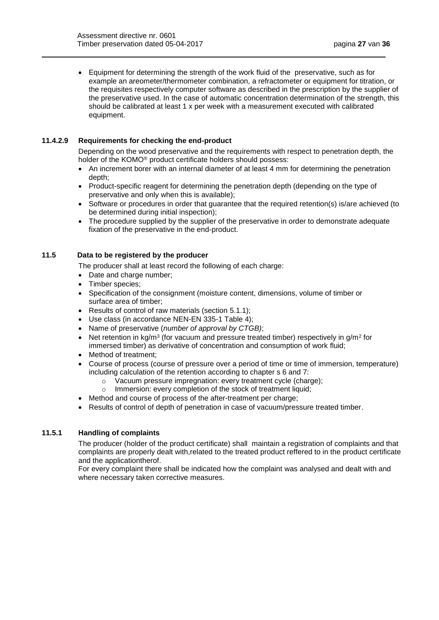Equipment for determining the strength of the work fluid of the preservative, such as for example an areometer/thermometer combination, a refractometer or equipment for titration, or the requisites respectively computer software as described in the prescription by the supplier of the preservative used. In the case of automatic concentration determination of the strength, this should be calibrated at least 1 x per week with a measurement executed with calibrated equipment.

### **11.4.2.9 Requirements for checking the end-product**

Depending on the wood preservative and the requirements with respect to penetration depth, the holder of the KOMO® product certificate holders should possess:

- An increment borer with an internal diameter of at least 4 mm for determining the penetration depth;
- Product-specific reagent for determining the penetration depth (depending on the type of preservative and only when this is available);
- Software or procedures in order that guarantee that the required retention(s) is/are achieved (to be determined during initial inspection);
- The procedure supplied by the supplier of the preservative in order to demonstrate adequate fixation of the preservative in the end-product.

# <span id="page-26-0"></span>**11.5 Data to be registered by the producer**

The producer shall at least record the following of each charge:

- Date and charge number;
- Timber species;
- Specification of the consignment (moisture content, dimensions, volume of timber or surface area of timber;
- Results of control of raw materials (section 5.1.1);
- Use class (in accordance NEN-EN 335-1 Table 4);
- Name of preservative (*number of approval by CTGB)*;
- Net retention in kg/m<sup>3</sup> (for vacuum and pressure treated timber) respectively in g/m<sup>2</sup> for immersed timber) as derivative of concentration and consumption of work fluid;
- Method of treatment;
- Course of process (course of pressure over a period of time or time of immersion, temperature) including calculation of the retention according to chapter s 6 and 7:
	- o Vacuum pressure impregnation: every treatment cycle (charge);
	- o Immersion: every completion of the stock of treatment liquid;
- Method and course of process of the after-treatment per charge;
- Results of control of depth of penetration in case of vacuum/pressure treated timber.

# **11.5.1 Handling of complaints**

The producer (holder of the product certificate) shall maintain a registration of complaints and that complaints are properly dealt with,related to the treated product reffered to in the product certificate and the applicationtherof.

<span id="page-26-1"></span>For every complaint there shall be indicated how the complaint was analysed and dealt with and where necessary taken corrective measures.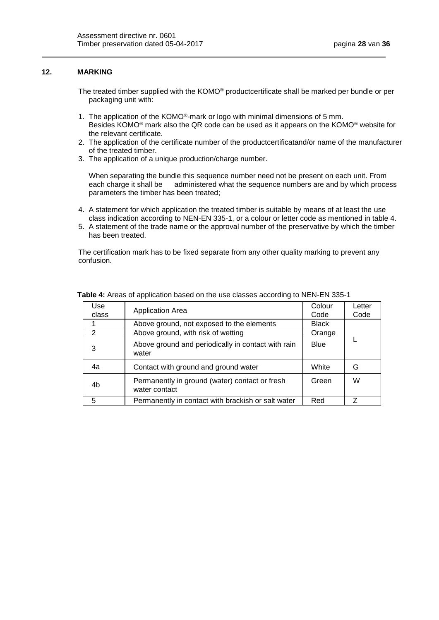# **12. MARKING**

- The treated timber supplied with the KOMO® productcertificate shall be marked per bundle or per packaging unit with:
- 1. The application of the KOMO®-mark or logo with minimal dimensions of 5 mm. Besides KOMO® mark also the QR code can be used as it appears on the KOMO® website for the relevant certificate.
- 2. The application of the certificate number of the productcertificatand/or name of the manufacturer of the treated timber.
- 3. The application of a unique production/charge number.

When separating the bundle this sequence number need not be present on each unit. From each charge it shall be administered what the sequence numbers are and by which process parameters the timber has been treated;

- 4. A statement for which application the treated timber is suitable by means of at least the use class indication according to NEN-EN 335-1, or a colour or letter code as mentioned in table 4.
- 5. A statement of the trade name or the approval number of the preservative by which the timber has been treated.

The certification mark has to be fixed separate from any other quality marking to prevent any confusion.

<span id="page-27-0"></span>

| Use<br>class | <b>Application Area</b>                                         | Colour<br>Code | Letter<br>Code |
|--------------|-----------------------------------------------------------------|----------------|----------------|
|              | Above ground, not exposed to the elements                       | <b>Black</b>   |                |
| 2            | Above ground, with risk of wetting                              | Orange         |                |
| 3            | Above ground and periodically in contact with rain<br>water     | Blue           |                |
| 4a           | Contact with ground and ground water                            | White          | G              |
| 4b           | Permanently in ground (water) contact or fresh<br>water contact | Green          | W              |
| 5            | Permanently in contact with brackish or salt water              | Red            | 7              |

**Table 4:** Areas of application based on the use classes according to NEN-EN 335-1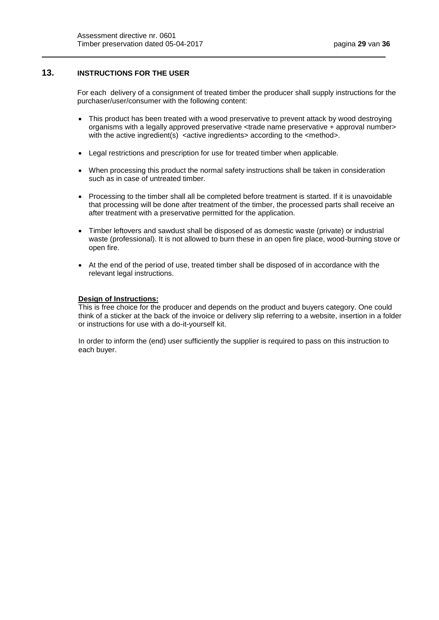# **13. INSTRUCTIONS FOR THE USER**

For each delivery of a consignment of treated timber the producer shall supply instructions for the purchaser/user/consumer with the following content:

- This product has been treated with a wood preservative to prevent attack by wood destroying organisms with a legally approved preservative <trade name preservative + approval number> with the active ingredient(s) <active ingredients> according to the <method>.
- Legal restrictions and prescription for use for treated timber when applicable.
- When processing this product the normal safety instructions shall be taken in consideration such as in case of untreated timber.
- Processing to the timber shall all be completed before treatment is started. If it is unavoidable that processing will be done after treatment of the timber, the processed parts shall receive an after treatment with a preservative permitted for the application.
- Timber leftovers and sawdust shall be disposed of as domestic waste (private) or industrial waste (professional). It is not allowed to burn these in an open fire place, wood-burning stove or open fire.
- At the end of the period of use, treated timber shall be disposed of in accordance with the relevant legal instructions.

### **Design of Instructions:**

This is free choice for the producer and depends on the product and buyers category. One could think of a sticker at the back of the invoice or delivery slip referring to a website, insertion in a folder or instructions for use with a do-it-yourself kit.

<span id="page-28-0"></span>In order to inform the (end) user sufficiently the supplier is required to pass on this instruction to each buyer.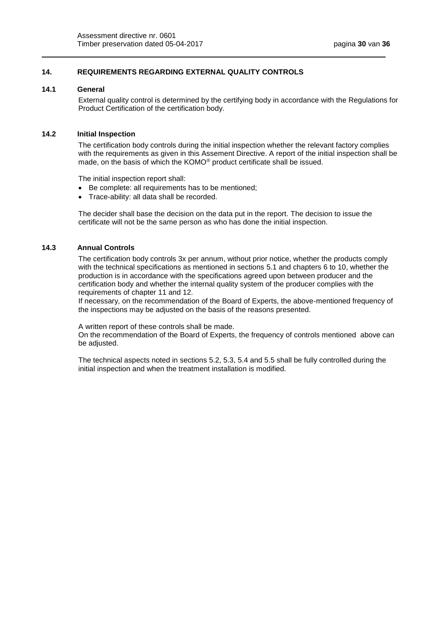# **14. REQUIREMENTS REGARDING EXTERNAL QUALITY CONTROLS**

#### <span id="page-29-0"></span>**14.1 General**

External quality control is determined by the certifying body in accordance with the Regulations for Product Certification of the certification body.

#### <span id="page-29-1"></span>**14.2 Initial Inspection**

The certification body controls during the initial inspection whether the relevant factory complies with the requirements as given in this Assement Directive. A report of the initial inspection shall be made, on the basis of which the KOMO® product certificate shall be issued.

The initial inspection report shall:

- Be complete: all requirements has to be mentioned;
- Trace-ability: all data shall be recorded.

The decider shall base the decision on the data put in the report. The decision to issue the certificate will not be the same person as who has done the initial inspection.

### <span id="page-29-2"></span>**14.3 Annual Controls**

The certification body controls 3x per annum, without prior notice, whether the products comply with the technical specifications as mentioned in sections 5.1 and chapters 6 to 10, whether the production is in accordance with the specifications agreed upon between producer and the certification body and whether the internal quality system of the producer complies with the requirements of chapter 11 and 12.

If necessary, on the recommendation of the Board of Experts, the above-mentioned frequency of the inspections may be adjusted on the basis of the reasons presented.

A written report of these controls shall be made.

On the recommendation of the Board of Experts, the frequency of controls mentioned above can be adjusted.

<span id="page-29-3"></span>The technical aspects noted in sections 5.2, 5.3, 5.4 and 5.5 shall be fully controlled during the initial inspection and when the treatment installation is modified.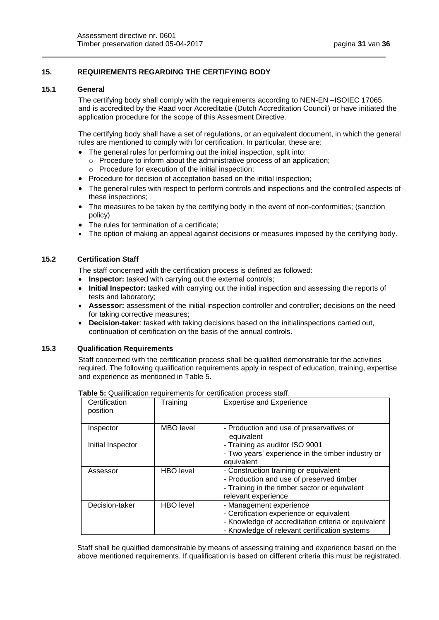# **15. REQUIREMENTS REGARDING THE CERTIFYING BODY**

#### <span id="page-30-0"></span>**15.1 General**

The certifying body shall comply with the requirements according to NEN-EN –ISOIEC 17065. and is accredited by the Raad voor Accreditatie (Dutch Accreditation Council) or have initiated the application procedure for the scope of this Assesment Directive.

The certifying body shall have a set of regulations, or an equivalent document, in which the general rules are mentioned to comply with for certification. In particular, these are:

- The general rules for performing out the initial inspection, split into:
	- o Procedure to inform about the administrative process of an application; o Procedure for execution of the initial inspection;
- Procedure for decision of acceptation based on the initial inspection:
- The general rules with respect to perform controls and inspections and the controlled aspects of these inspections;
- The measures to be taken by the certifying body in the event of non-conformities; (sanction policy)
- The rules for termination of a certificate;
- The option of making an appeal against decisions or measures imposed by the certifying body.

# <span id="page-30-1"></span>**15.2 Certification Staff**

The staff concerned with the certification process is defined as followed:

- **Inspector:** tasked with carrying out the external controls;
- **Initial Inspector:** tasked with carrying out the initial inspection and assessing the reports of tests and laboratory;
- **Assessor:** assessment of the initial inspection controller and controller; decisions on the need for taking corrective measures;
- **Decision-taker**: tasked with taking decisions based on the initialinspections carried out, continuation of certification on the basis of the annual controls.

#### <span id="page-30-2"></span>**15.3 Qualification Requirements**

Staff concerned with the certification process shall be qualified demonstrable for the activities required. The following qualification requirements apply in respect of education, training, expertise and experience as mentioned in Table 5.

| Certification<br>position      | Training         | <b>Expertise and Experience</b>                                                                                                                                             |
|--------------------------------|------------------|-----------------------------------------------------------------------------------------------------------------------------------------------------------------------------|
| Inspector<br>Initial Inspector | MBO level        | - Production and use of preservatives or<br>equivalent<br>- Training as auditor ISO 9001                                                                                    |
|                                |                  | - Two years' experience in the timber industry or<br>equivalent                                                                                                             |
| Assessor                       | <b>HBO</b> level | - Construction training or equivalent<br>- Production and use of preserved timber<br>- Training in the timber sector or equivalent<br>relevant experience                   |
| Decision-taker                 | <b>HBO</b> level | - Management experience<br>- Certification experience or equivalent<br>- Knowledge of accreditation criteria or equivalent<br>- Knowledge of relevant certification systems |

**Table 5:** Qualification requirements for certification process staff.

Staff shall be qualified demonstrable by means of assessing training and experience based on the above mentioned requirements. If qualification is based on different criteria this must be registrated.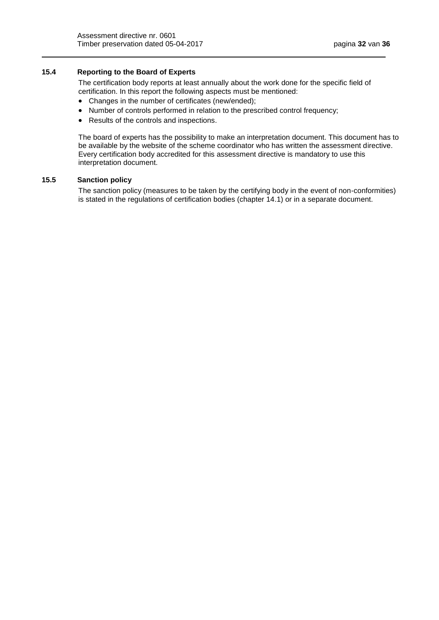# <span id="page-31-0"></span>**15.4 Reporting to the Board of Experts**

The certification body reports at least annually about the work done for the specific field of certification. In this report the following aspects must be mentioned:

- Changes in the number of certificates (new/ended);
- Number of controls performed in relation to the prescribed control frequency;
- Results of the controls and inspections.

The board of experts has the possibility to make an interpretation document. This document has to be available by the website of the scheme coordinator who has written the assessment directive. Every certification body accredited for this assessment directive is mandatory to use this interpretation document.

#### <span id="page-31-2"></span><span id="page-31-1"></span>**15.5 Sanction policy**

The sanction policy (measures to be taken by the certifying body in the event of non-conformities) is stated in the regulations of certification bodies (chapter 14.1) or in a separate document.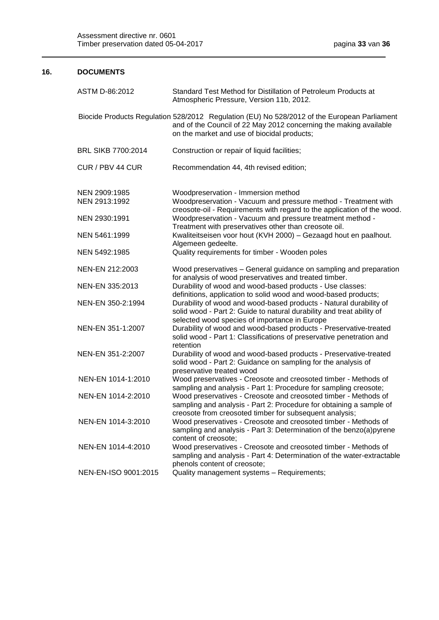# **16. DOCUMENTS**

| ASTM D-86:2012       | Standard Test Method for Distillation of Petroleum Products at<br>Atmospheric Pressure, Version 11b, 2012.                                                                                                      |
|----------------------|-----------------------------------------------------------------------------------------------------------------------------------------------------------------------------------------------------------------|
|                      | Biocide Products Regulation 528/2012 Regulation (EU) No 528/2012 of the European Parliament<br>and of the Council of 22 May 2012 concerning the making available<br>on the market and use of biocidal products; |
| BRL SIKB 7700:2014   | Construction or repair of liquid facilities;                                                                                                                                                                    |
| CUR / PBV 44 CUR     | Recommendation 44, 4th revised edition;                                                                                                                                                                         |
| NEN 2909:1985        | Woodpreservation - Immersion method                                                                                                                                                                             |
| NEN 2913:1992        | Woodpreservation - Vacuum and pressure method - Treatment with<br>creosote-oil - Requirements with regard to the application of the wood.                                                                       |
| NEN 2930:1991        | Woodpreservation - Vacuum and pressure treatment method -<br>Treatment with preservatives other than creosote oil.                                                                                              |
| NEN 5461:1999        | Kwaliteitseisen voor hout (KVH 2000) - Gezaagd hout en paalhout.<br>Algemeen gedeelte.                                                                                                                          |
| NEN 5492:1985        | Quality requirements for timber - Wooden poles                                                                                                                                                                  |
| NEN-EN 212:2003      | Wood preservatives - General guidance on sampling and preparation<br>for analysis of wood preservatives and treated timber.                                                                                     |
| NEN-EN 335:2013      | Durability of wood and wood-based products - Use classes:<br>definitions, application to solid wood and wood-based products;                                                                                    |
| NEN-EN 350-2:1994    | Durability of wood and wood-based products - Natural durability of<br>solid wood - Part 2: Guide to natural durability and treat ability of<br>selected wood species of importance in Europe                    |
| NEN-EN 351-1:2007    | Durability of wood and wood-based products - Preservative-treated<br>solid wood - Part 1: Classifications of preservative penetration and<br>retention                                                          |
| NEN-EN 351-2:2007    | Durability of wood and wood-based products - Preservative-treated<br>solid wood - Part 2: Guidance on sampling for the analysis of<br>preservative treated wood                                                 |
| NEN-EN 1014-1:2010   | Wood preservatives - Creosote and creosoted timber - Methods of<br>sampling and analysis - Part 1: Procedure for sampling creosote;                                                                             |
| NEN-EN 1014-2:2010   | Wood preservatives - Creosote and creosoted timber - Methods of<br>sampling and analysis - Part 2: Procedure for obtaining a sample of<br>creosote from creosoted timber for subsequent analysis;               |
| NEN-EN 1014-3:2010   | Wood preservatives - Creosote and creosoted timber - Methods of<br>sampling and analysis - Part 3: Determination of the benzo(a)pyrene<br>content of creosote;                                                  |
| NEN-EN 1014-4:2010   | Wood preservatives - Creosote and creosoted timber - Methods of<br>sampling and analysis - Part 4: Determination of the water-extractable<br>phenols content of creosote;                                       |
| NEN-EN-ISO 9001:2015 | Quality management systems - Requirements;                                                                                                                                                                      |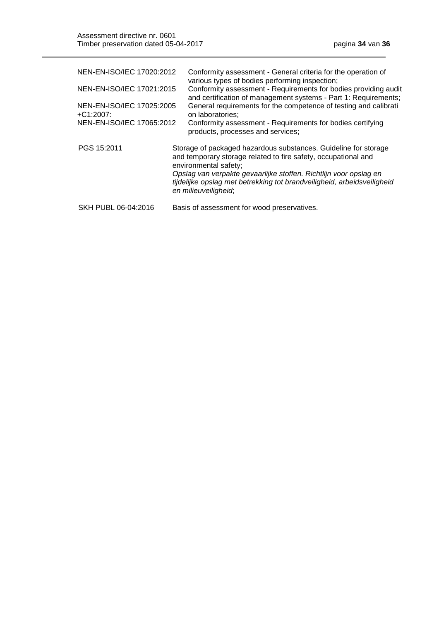| NEN-EN-ISO/IEC 17020:2012<br>NEN-EN-ISO/IEC 17021:2015<br>NEN-EN-ISO/IEC 17025:2005<br>$+C1:2007$ :<br>NEN-EN-ISO/IEC 17065:2012 | Conformity assessment - General criteria for the operation of<br>various types of bodies performing inspection;<br>Conformity assessment - Requirements for bodies providing audit<br>and certification of management systems - Part 1: Requirements;<br>General requirements for the competence of testing and calibrati<br>on laboratories;<br>Conformity assessment - Requirements for bodies certifying<br>products, processes and services; |
|----------------------------------------------------------------------------------------------------------------------------------|--------------------------------------------------------------------------------------------------------------------------------------------------------------------------------------------------------------------------------------------------------------------------------------------------------------------------------------------------------------------------------------------------------------------------------------------------|
| PGS 15:2011                                                                                                                      | Storage of packaged hazardous substances. Guideline for storage<br>and temporary storage related to fire safety, occupational and<br>environmental safety;<br>Opslag van verpakte gevaarlijke stoffen. Richtlijn voor opslag en<br>tijdelijke opslag met betrekking tot brandveiligheid, arbeidsveiligheid<br>en milieuveiligheid;                                                                                                               |
| SKH PUBL 06-04:2016                                                                                                              | Basis of assessment for wood preservatives.                                                                                                                                                                                                                                                                                                                                                                                                      |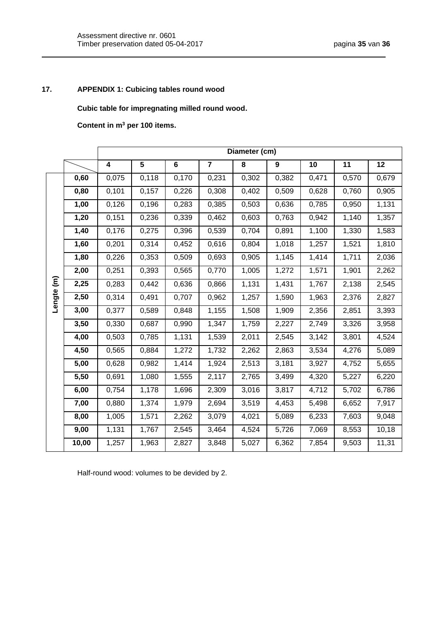# **17. APPENDIX 1: Cubicing tables round wood**

<span id="page-34-0"></span>**Cubic table for impregnating milled round wood.**

**Content in m<sup>3</sup> per 100 items.**

|            |       | Diameter (cm)           |                |                |                |       |                  |       |       |                 |  |
|------------|-------|-------------------------|----------------|----------------|----------------|-------|------------------|-------|-------|-----------------|--|
|            |       | $\overline{\mathbf{4}}$ | $\overline{5}$ | $\overline{6}$ | $\overline{7}$ | 8     | $\boldsymbol{9}$ | 10    | 11    | $\overline{12}$ |  |
| Lengte (m) | 0,60  | 0,075                   | 0,118          | 0,170          | 0,231          | 0,302 | 0,382            | 0,471 | 0,570 | 0,679           |  |
|            | 0,80  | 0,101                   | 0,157          | 0,226          | 0,308          | 0,402 | 0,509            | 0,628 | 0,760 | 0,905           |  |
|            | 1,00  | 0,126                   | 0,196          | 0,283          | 0,385          | 0,503 | 0,636            | 0,785 | 0,950 | 1,131           |  |
|            | 1,20  | 0,151                   | 0,236          | 0,339          | 0,462          | 0,603 | 0,763            | 0,942 | 1,140 | 1,357           |  |
|            | 1,40  | 0,176                   | 0,275          | 0,396          | 0,539          | 0,704 | 0,891            | 1,100 | 1,330 | 1,583           |  |
|            | 1,60  | 0,201                   | 0,314          | 0,452          | 0,616          | 0,804 | 1,018            | 1,257 | 1,521 | 1,810           |  |
|            | 1,80  | 0,226                   | 0,353          | 0,509          | 0,693          | 0,905 | 1,145            | 1,414 | 1,711 | 2,036           |  |
|            | 2,00  | 0,251                   | 0,393          | 0,565          | 0,770          | 1,005 | 1,272            | 1,571 | 1,901 | 2,262           |  |
|            | 2,25  | 0,283                   | 0,442          | 0,636          | 0,866          | 1,131 | 1,431            | 1,767 | 2,138 | 2,545           |  |
|            | 2,50  | 0,314                   | 0,491          | 0,707          | 0,962          | 1,257 | 1,590            | 1,963 | 2,376 | 2,827           |  |
|            | 3,00  | 0,377                   | 0,589          | 0,848          | 1,155          | 1,508 | 1,909            | 2,356 | 2,851 | 3,393           |  |
|            | 3,50  | 0,330                   | 0,687          | 0,990          | 1,347          | 1,759 | 2,227            | 2,749 | 3,326 | 3,958           |  |
|            | 4,00  | 0,503                   | 0,785          | 1,131          | 1,539          | 2,011 | 2,545            | 3,142 | 3,801 | 4,524           |  |
|            | 4,50  | 0,565                   | 0,884          | 1,272          | 1,732          | 2,262 | 2,863            | 3,534 | 4,276 | 5,089           |  |
|            | 5,00  | 0,628                   | 0,982          | 1,414          | 1,924          | 2,513 | 3,181            | 3,927 | 4,752 | 5,655           |  |
|            | 5,50  | 0,691                   | 1,080          | 1,555          | 2,117          | 2,765 | 3,499            | 4,320 | 5,227 | 6,220           |  |
|            | 6,00  | 0,754                   | 1,178          | 1,696          | 2,309          | 3,016 | 3,817            | 4,712 | 5,702 | 6,786           |  |
|            | 7,00  | 0,880                   | 1,374          | 1,979          | 2,694          | 3,519 | 4,453            | 5,498 | 6,652 | 7,917           |  |
|            | 8,00  | 1,005                   | 1,571          | 2,262          | 3,079          | 4,021 | 5,089            | 6,233 | 7,603 | 9,048           |  |
|            | 9,00  | 1,131                   | 1,767          | 2,545          | 3,464          | 4,524 | 5,726            | 7,069 | 8,553 | 10,18           |  |
|            | 10,00 | 1,257                   | 1,963          | 2,827          | 3,848          | 5,027 | 6,362            | 7,854 | 9,503 | 11,31           |  |

Half-round wood: volumes to be devided by 2.